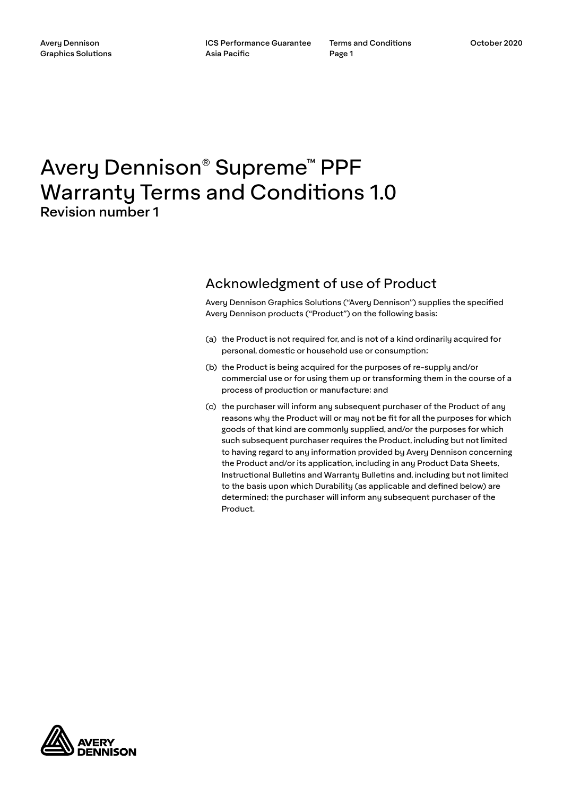Terms and Conditions Page 1

# Avery Dennison® Supreme™ PPF Warranty Terms and Conditions 1.0 Revision number 1

# Acknowledgment of use of Product

Avery Dennison Graphics Solutions ("Avery Dennison") supplies the specified Avery Dennison products ("Product") on the following basis:

- (a) the Product is not required for, and is not of a kind ordinarily acquired for personal, domestic or household use or consumption;
- (b) the Product is being acquired for the purposes of re-supply and/or commercial use or for using them up or transforming them in the course of a process of production or manufacture; and
- (c) the purchaser will inform any subsequent purchaser of the Product of any reasons why the Product will or may not be fit for all the purposes for which goods of that kind are commonly supplied, and/or the purposes for which such subsequent purchaser requires the Product, including but not limited to having regard to any information provided by Avery Dennison concerning the Product and/or its application, including in any Product Data Sheets, Instructional Bulletins and Warranty Bulletins and, including but not limited to the basis upon which Durability (as applicable and defined below) are determined; the purchaser will inform any subsequent purchaser of the Product.

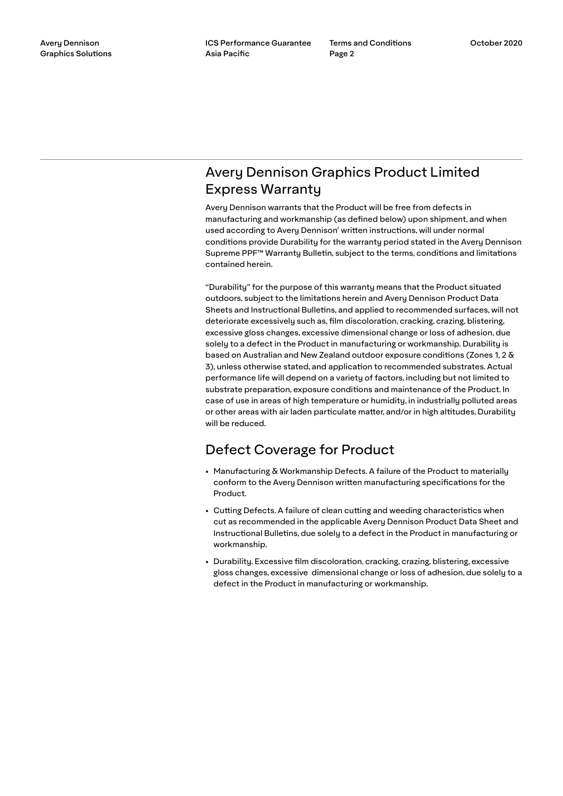# Avery Dennison Graphics Product Limited Express Warranty

Avery Dennison warrants that the Product will be free from defects in manufacturing and workmanship (as defined below) upon shipment, and when used according to Avery Dennison' written instructions, will under normal conditions provide Durability for the warranty period stated in the Avery Dennison Supreme PPF™ Warranty Bulletin, subject to the terms, conditions and limitations contained herein.

"Durability" for the purpose of this warranty means that the Product situated outdoors, subject to the limitations herein and Avery Dennison Product Data Sheets and Instructional Bulletins, and applied to recommended surfaces, will not deteriorate excessively such as, film discoloration, cracking, crazing, blistering, excessive gloss changes, excessive dimensional change or loss of adhesion, due solely to a defect in the Product in manufacturing or workmanship. Durability is based on Australian and New Zealand outdoor exposure conditions (Zones 1, 2 & 3), unless otherwise stated, and application to recommended substrates. Actual performance life will depend on a variety of factors, including but not limited to substrate preparation, exposure conditions and maintenance of the Product. In case of use in areas of high temperature or humidity, in industrially polluted areas or other areas with air laden particulate matter, and/or in high altitudes, Durability will be reduced.

# Defect Coverage for Product

- Manufacturing & Workmanship Defects. A failure of the Product to materially conform to the Avery Dennison written manufacturing specifications for the Product.
- Cutting Defects. A failure of clean cutting and weeding characteristics when cut as recommended in the applicable Avery Dennison Product Data Sheet and Instructional Bulletins, due solely to a defect in the Product in manufacturing or workmanship.
- Durability. Excessive film discoloration, cracking, crazing, blistering, excessive gloss changes, excessive dimensional change or loss of adhesion, due solely to a defect in the Product in manufacturing or workmanship.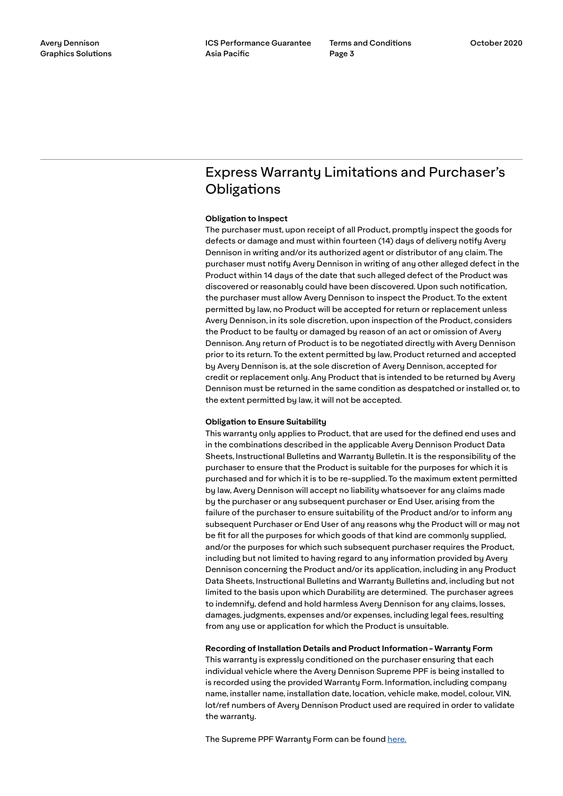# Express Warranty Limitations and Purchaser's **Obligations**

### **Obligation to Inspect**

The purchaser must, upon receipt of all Product, promptly inspect the goods for defects or damage and must within fourteen (14) days of delivery notify Avery Dennison in writing and/or its authorized agent or distributor of any claim. The purchaser must notify Avery Dennison in writing of any other alleged defect in the Product within 14 days of the date that such alleged defect of the Product was discovered or reasonably could have been discovered. Upon such notification, the purchaser must allow Avery Dennison to inspect the Product. To the extent permitted by law, no Product will be accepted for return or replacement unless Avery Dennison, in its sole discretion, upon inspection of the Product, considers the Product to be faulty or damaged by reason of an act or omission of Avery Dennison. Any return of Product is to be negotiated directly with Avery Dennison prior to its return. To the extent permitted by law, Product returned and accepted by Avery Dennison is, at the sole discretion of Avery Dennison, accepted for credit or replacement only. Any Product that is intended to be returned by Avery Dennison must be returned in the same condition as despatched or installed or, to the extent permitted by law, it will not be accepted.

# **Obligation to Ensure Suitability**

This warranty only applies to Product, that are used for the defined end uses and in the combinations described in the applicable Avery Dennison Product Data Sheets, Instructional Bulletins and Warranty Bulletin. It is the responsibility of the purchaser to ensure that the Product is suitable for the purposes for which it is purchased and for which it is to be re-supplied. To the maximum extent permitted by law, Avery Dennison will accept no liability whatsoever for any claims made by the purchaser or any subsequent purchaser or End User, arising from the failure of the purchaser to ensure suitability of the Product and/or to inform any subsequent Purchaser or End User of any reasons why the Product will or may not be fit for all the purposes for which goods of that kind are commonly supplied, and/or the purposes for which such subsequent purchaser requires the Product, including but not limited to having regard to any information provided by Avery Dennison concerning the Product and/or its application, including in any Product Data Sheets, Instructional Bulletins and Warranty Bulletins and, including but not limited to the basis upon which Durability are determined. The purchaser agrees to indemnify, defend and hold harmless Avery Dennison for any claims, losses, damages, judgments, expenses and/or expenses, including legal fees, resulting from any use or application for which the Product is unsuitable.

### **Recording of Installation Details and Product Information - Warranty Form**

This warranty is expressly conditioned on the purchaser ensuring that each individual vehicle where the Avery Dennison Supreme PPF is being installed to is recorded using the provided Warranty Form. Information, including company name, installer name, installation date, location, vehicle make, model, colour, VIN, lot/ref numbers of Avery Dennison Product used are required in order to validate the warranty.

The Supreme PPF Warranty Form can be found [here.](https://graphicsap.averydennison.com/en/home/contact/register-supreme-ppf-warranty.html)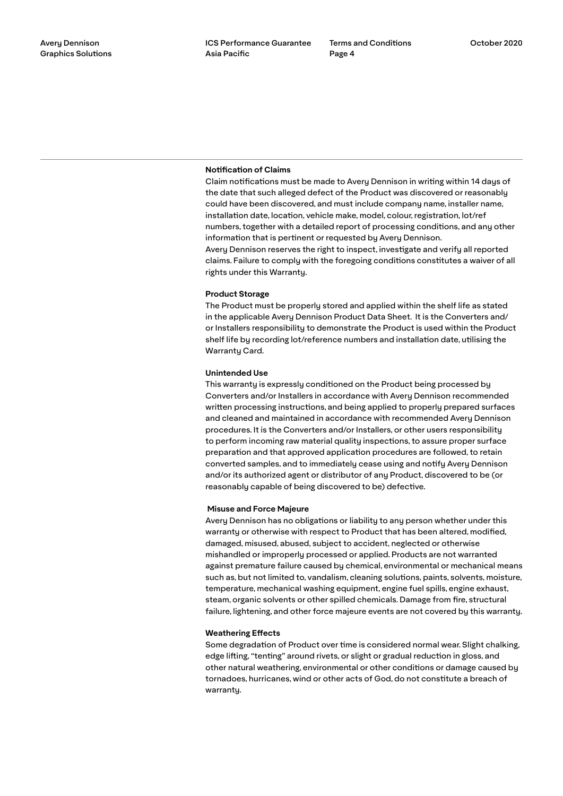# **Notification of Claims**

Claim notifications must be made to Avery Dennison in writing within 14 days of the date that such alleged defect of the Product was discovered or reasonably could have been discovered, and must include company name, installer name, installation date, location, vehicle make, model, colour, registration, lot/ref numbers, together with a detailed report of processing conditions, and any other information that is pertinent or requested by Avery Dennison. Avery Dennison reserves the right to inspect, investigate and verify all reported claims. Failure to comply with the foregoing conditions constitutes a waiver of all rights under this Warranty.

### **Product Storage**

The Product must be properly stored and applied within the shelf life as stated in the applicable Avery Dennison Product Data Sheet. It is the Converters and/ or Installers responsibility to demonstrate the Product is used within the Product shelf life by recording lot/reference numbers and installation date, utilising the Warranty Card.

#### **Unintended Use**

This warranty is expressly conditioned on the Product being processed by Converters and/or Installers in accordance with Avery Dennison recommended written processing instructions, and being applied to properly prepared surfaces and cleaned and maintained in accordance with recommended Avery Dennison procedures. It is the Converters and/or Installers, or other users responsibility to perform incoming raw material quality inspections, to assure proper surface preparation and that approved application procedures are followed, to retain converted samples, and to immediately cease using and notify Avery Dennison and/or its authorized agent or distributor of any Product, discovered to be (or reasonably capable of being discovered to be) defective.

#### **Misuse and Force Majeure**

Avery Dennison has no obligations or liability to any person whether under this warranty or otherwise with respect to Product that has been altered, modified, damaged, misused, abused, subject to accident, neglected or otherwise mishandled or improperly processed or applied. Products are not warranted against premature failure caused by chemical, environmental or mechanical means such as, but not limited to, vandalism, cleaning solutions, paints, solvents, moisture, temperature, mechanical washing equipment, engine fuel spills, engine exhaust, steam, organic solvents or other spilled chemicals. Damage from fire, structural failure, lightening, and other force majeure events are not covered by this warranty.

#### **Weathering Effects**

Some degradation of Product over time is considered normal wear. Slight chalking, edge lifting, "tenting" around rivets, or slight or gradual reduction in gloss, and other natural weathering, environmental or other conditions or damage caused by tornadoes, hurricanes, wind or other acts of God, do not constitute a breach of warranty.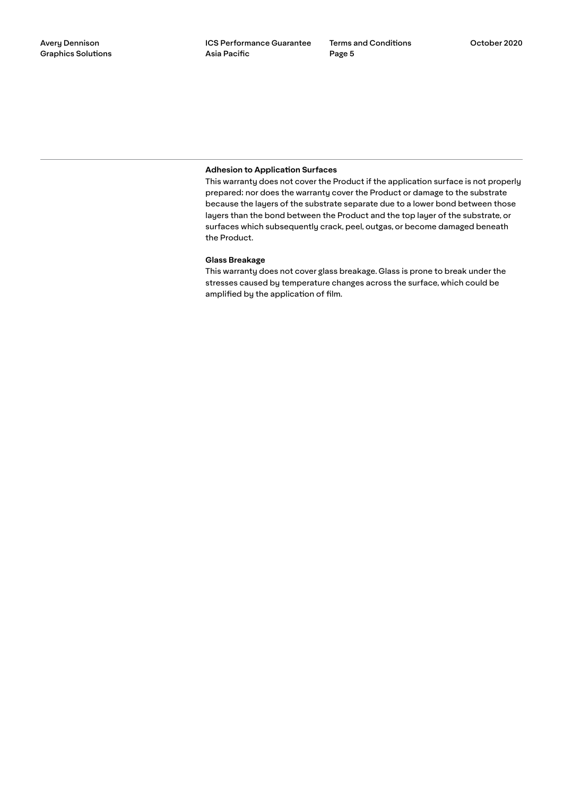# **Adhesion to Application Surfaces**

This warranty does not cover the Product if the application surface is not properly prepared; nor does the warranty cover the Product or damage to the substrate because the layers of the substrate separate due to a lower bond between those layers than the bond between the Product and the top layer of the substrate, or surfaces which subsequently crack, peel, outgas, or become damaged beneath the Product.

### **Glass Breakage**

This warranty does not cover glass breakage. Glass is prone to break under the stresses caused by temperature changes across the surface, which could be amplified by the application of film.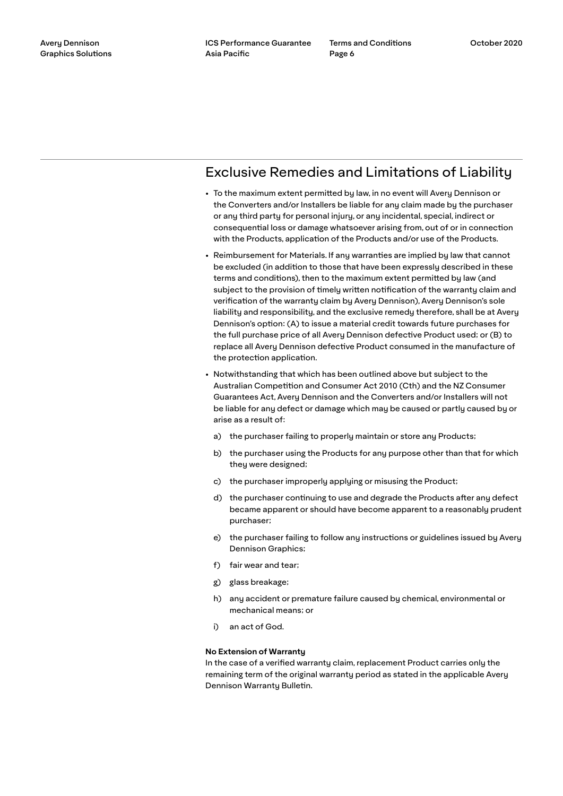# Exclusive Remedies and Limitations of Liability

- To the maximum extent permitted by law, in no event will Avery Dennison or the Converters and/or Installers be liable for any claim made by the purchaser or any third party for personal injury, or any incidental, special, indirect or consequential loss or damage whatsoever arising from, out of or in connection with the Products, application of the Products and/or use of the Products.
- Reimbursement for Materials. If any warranties are implied by law that cannot be excluded (in addition to those that have been expressly described in these terms and conditions), then to the maximum extent permitted by law (and subject to the provision of timely written notification of the warranty claim and verification of the warranty claim by Avery Dennison), Avery Dennison's sole liability and responsibility, and the exclusive remedy therefore, shall be at Avery Dennison's option: (A) to issue a material credit towards future purchases for the full purchase price of all Avery Dennison defective Product used; or (B) to replace all Avery Dennison defective Product consumed in the manufacture of the protection application.
- Notwithstanding that which has been outlined above but subject to the Australian Competition and Consumer Act 2010 (Cth) and the NZ Consumer Guarantees Act, Avery Dennison and the Converters and/or Installers will not be liable for any defect or damage which may be caused or partly caused by or arise as a result of:
	- a) the purchaser failing to properly maintain or store any Products;
	- b) the purchaser using the Products for any purpose other than that for which they were designed;
	- c) the purchaser improperly applying or misusing the Product;
	- d) the purchaser continuing to use and degrade the Products after any defect became apparent or should have become apparent to a reasonably prudent purchaser;
	- e) the purchaser failing to follow any instructions or guidelines issued by Avery Dennison Graphics;
	- f) fair wear and tear;
	- g) glass breakage;
	- h) any accident or premature failure caused by chemical, environmental or mechanical means; or
	- i) an act of God.

### **No Extension of Warranty**

In the case of a verified warranty claim, replacement Product carries only the remaining term of the original warranty period as stated in the applicable Avery Dennison Warranty Bulletin.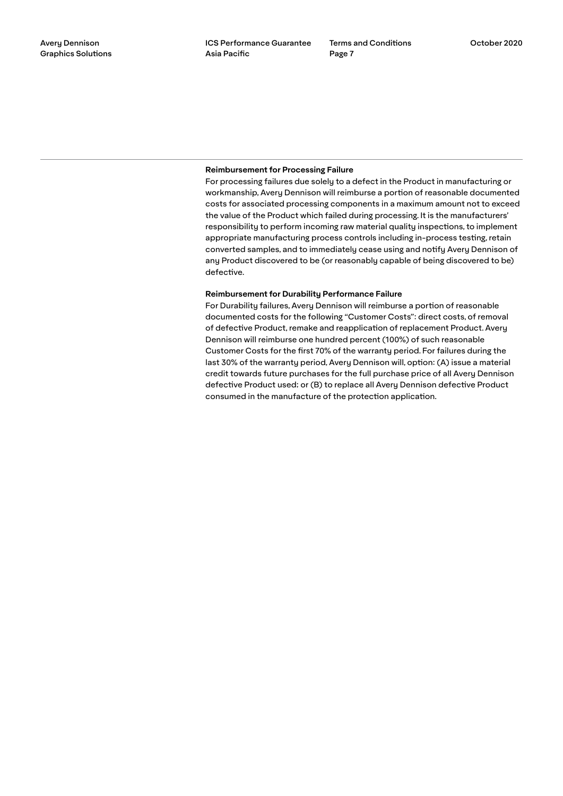### **Reimbursement for Processing Failure**

For processing failures due solely to a defect in the Product in manufacturing or workmanship, Avery Dennison will reimburse a portion of reasonable documented costs for associated processing components in a maximum amount not to exceed the value of the Product which failed during processing. It is the manufacturers' responsibility to perform incoming raw material quality inspections, to implement appropriate manufacturing process controls including in-process testing, retain converted samples, and to immediately cease using and notify Avery Dennison of any Product discovered to be (or reasonably capable of being discovered to be) defective.

### **Reimbursement for Durability Performance Failure**

For Durability failures, Avery Dennison will reimburse a portion of reasonable documented costs for the following "Customer Costs": direct costs, of removal of defective Product, remake and reapplication of replacement Product. Avery Dennison will reimburse one hundred percent (100%) of such reasonable Customer Costs for the first 70% of the warranty period. For failures during the last 30% of the warranty period, Avery Dennison will, option: (A) issue a material credit towards future purchases for the full purchase price of all Avery Dennison defective Product used; or (B) to replace all Avery Dennison defective Product consumed in the manufacture of the protection application.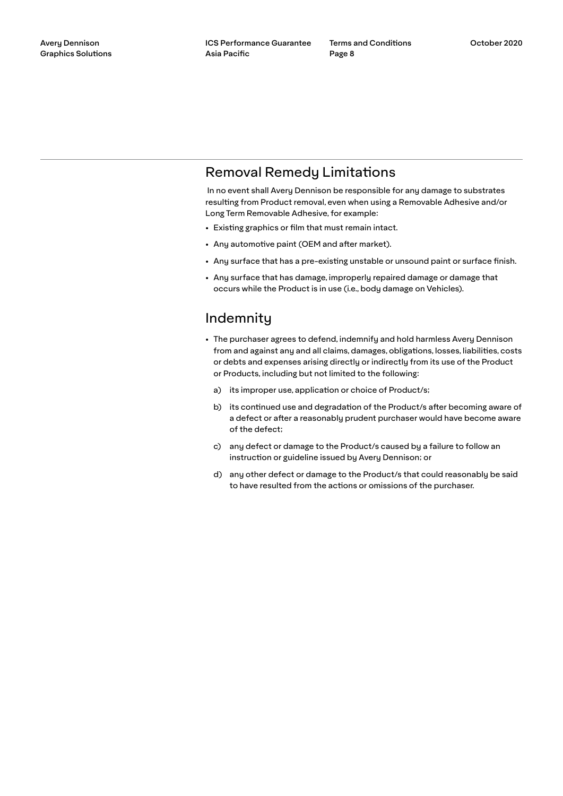# Removal Remedy Limitations

 In no event shall Avery Dennison be responsible for any damage to substrates resulting from Product removal, even when using a Removable Adhesive and/or Long Term Removable Adhesive, for example:

- Existing graphics or film that must remain intact.
- Any automotive paint (OEM and after market).
- Any surface that has a pre-existing unstable or unsound paint or surface finish.
- Any surface that has damage, improperly repaired damage or damage that occurs while the Product is in use (i.e., body damage on Vehicles).

# Indemnity

- The purchaser agrees to defend, indemnify and hold harmless Avery Dennison from and against any and all claims, damages, obligations, losses, liabilities, costs or debts and expenses arising directly or indirectly from its use of the Product or Products, including but not limited to the following:
	- a) its improper use, application or choice of Product/s;
	- b) its continued use and degradation of the Product/s after becoming aware of a defect or after a reasonably prudent purchaser would have become aware of the defect;
	- c) any defect or damage to the Product/s caused by a failure to follow an instruction or guideline issued by Avery Dennison; or
	- d) any other defect or damage to the Product/s that could reasonably be said to have resulted from the actions or omissions of the purchaser.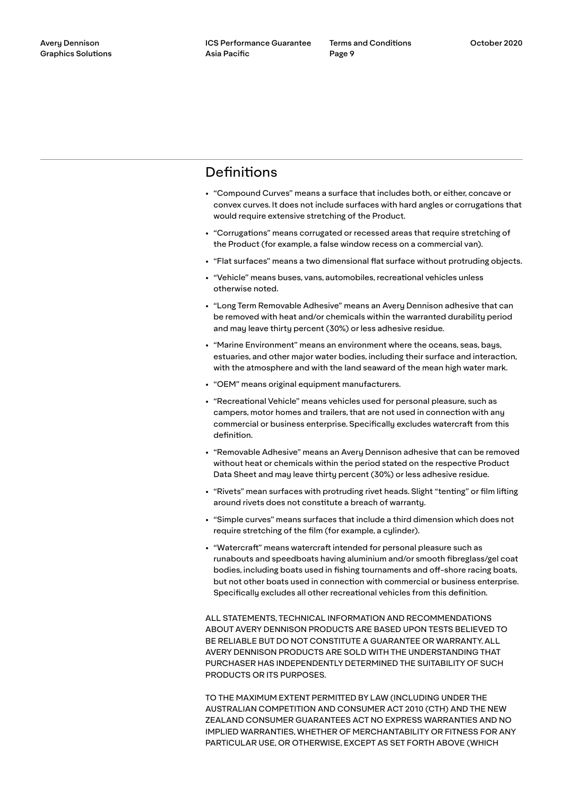# **Definitions**

- "Compound Curves" means a surface that includes both, or either, concave or convex curves. It does not include surfaces with hard angles or corrugations that would require extensive stretching of the Product.
- "Corrugations" means corrugated or recessed areas that require stretching of the Product (for example, a false window recess on a commercial van).
- "Flat surfaces" means a two dimensional flat surface without protruding objects.
- "Vehicle" means buses, vans, automobiles, recreational vehicles unless otherwise noted.
- "Long Term Removable Adhesive" means an Avery Dennison adhesive that can be removed with heat and/or chemicals within the warranted durability period and may leave thirty percent (30%) or less adhesive residue.
- "Marine Environment" means an environment where the oceans, seas, bays, estuaries, and other major water bodies, including their surface and interaction, with the atmosphere and with the land seaward of the mean high water mark.
- "OEM" means original equipment manufacturers.
- "Recreational Vehicle" means vehicles used for personal pleasure, such as campers, motor homes and trailers, that are not used in connection with any commercial or business enterprise. Specifically excludes watercraft from this definition.
- "Removable Adhesive" means an Avery Dennison adhesive that can be removed without heat or chemicals within the period stated on the respective Product Data Sheet and may leave thirty percent (30%) or less adhesive residue.
- "Rivets" mean surfaces with protruding rivet heads. Slight "tenting" or film lifting around rivets does not constitute a breach of warranty.
- "Simple curves" means surfaces that include a third dimension which does not require stretching of the film (for example, a cylinder).
- "Watercraft" means watercraft intended for personal pleasure such as runabouts and speedboats having aluminium and/or smooth fibreglass/gel coat bodies, including boats used in fishing tournaments and off-shore racing boats, but not other boats used in connection with commercial or business enterprise. Specifically excludes all other recreational vehicles from this definition.

ALL STATEMENTS, TECHNICAL INFORMATION AND RECOMMENDATIONS ABOUT AVERY DENNISON PRODUCTS ARE BASED UPON TESTS BELIEVED TO BE RELIABLE BUT DO NOT CONSTITUTE A GUARANTEE OR WARRANTY. ALL AVERY DENNISON PRODUCTS ARE SOLD WITH THE UNDERSTANDING THAT PURCHASER HAS INDEPENDENTLY DETERMINED THE SUITABILITY OF SUCH PRODUCTS OR ITS PURPOSES.

TO THE MAXIMUM EXTENT PERMITTED BY LAW (INCLUDING UNDER THE AUSTRALIAN COMPETITION AND CONSUMER ACT 2010 (CTH) AND THE NEW ZEALAND CONSUMER GUARANTEES ACT NO EXPRESS WARRANTIES AND NO IMPLIED WARRANTIES, WHETHER OF MERCHANTABILITY OR FITNESS FOR ANY PARTICULAR USE, OR OTHERWISE, EXCEPT AS SET FORTH ABOVE (WHICH